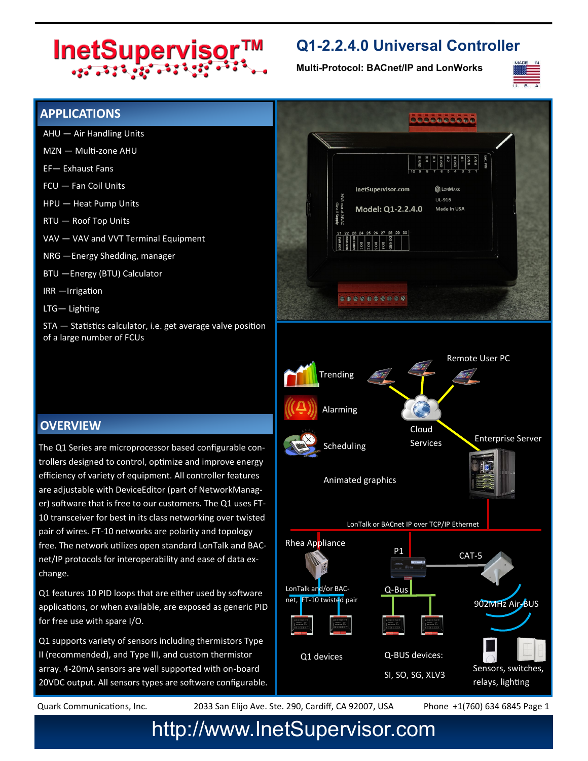# InetSupervisor™

### **Q1-2.2.4.0 Universal Controller**

**Multi-Protocol: BACnet/IP and LonWorks**



#### **APPLICATIONS**

- AHU Air Handling Units
- MZN Multi-zone AHU
- EF— Exhaust Fans
- FCU Fan Coil Units
- HPU Heat Pump Units
- RTU Roof Top Units
- VAV VAV and VVT Terminal Equipment
- NRG —Energy Shedding, manager
- BTU —Energy (BTU) Calculator
- IRR —Irrigation
- LTG— Lighting

STA — Statistics calculator, i.e. get average valve position of a large number of FCUs

#### **OVERVIEW**

The Q1 Series are microprocessor based configurable controllers designed to control, optimize and improve energy efficiency of variety of equipment. All controller features are adjustable with DeviceEditor (part of NetworkManager) software that is free to our customers. The Q1 uses FT-10 transceiver for best in its class networking over twisted pair of wires. FT-10 networks are polarity and topology free. The network utilizes open standard LonTalk and BACnet/IP protocols for interoperability and ease of data exchange.

Q1 features 10 PID loops that are either used by software applications, or when available, are exposed as generic PID for free use with spare I/O.

Q1 supports variety of sensors including thermistors Type II (recommended), and Type III, and custom thermistor array. 4-20mA sensors are well supported with on-board 20VDC output. All sensors types are software configurable.



Quark Communications, Inc. 2033 San Elijo Ave. Ste. 290, Cardiff, CA 92007, USA Phone +1(760) 634 6845 Page 1

## http://www.InetSupervisor.com